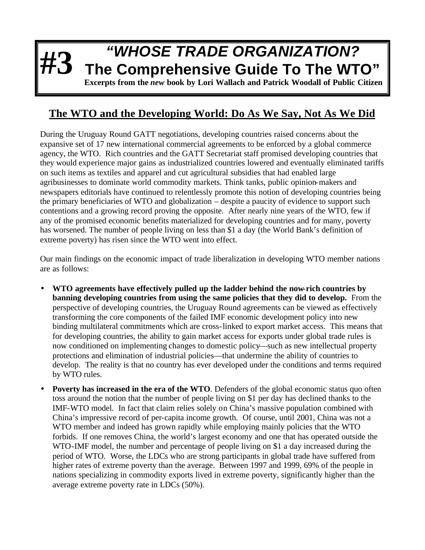## **#3** *"WHOSE TRADE ORGANIZATION?* **The Comprehensive Guide To The WTO" Excerpts from the** *new* **book by Lori Wallach and Patrick Woodall of Public Citizen**

## **The WTO and the Developing World: Do As We Say, Not As We Did**

During the Uruguay Round GATT negotiations, developing countries raised concerns about the expansive set of 17 new international commercial agreements to be enforced by a global commerce agency, the WTO. Rich countries and the GATT Secretariat staff promised developing countries that they would experience major gains as industrialized countries lowered and eventually eliminated tariffs on such items as textiles and apparel and cut agricultural subsidies that had enabled large agribusinesses to dominate world commodity markets. Think tanks, public opinion-makers and newspapers editorials have continued to relentlessly promote this notion of developing countries being the primary beneficiaries of WTO and globalization – despite a paucity of evidence to support such contentions and a growing record proving the opposite. After nearly nine years of the WTO, few if any of the promised economic benefits materialized for developing countries and for many, poverty has worsened. The number of people living on less than \$1 a day (the World Bank's definition of extreme poverty) has risen since the WTO went into effect.

Our main findings on the economic impact of trade liberalization in developing WTO member nations are as follows:

- **WTO agreements have effectively pulled up the ladder behind the now-rich countries by banning developing countries from using the same policies that they did to develop.** From the perspective of developing countries, the Uruguay Round agreements can be viewed as effectively transforming the core components of the failed IMF economic development policy into new binding multilateral commitments which are cross-linked to export market access. This means that for developing countries, the ability to gain market access for exports under global trade rules is now conditioned on implementing changes to domestic policy—such as new intellectual property protections and elimination of industrial policies—that undermine the ability of countries to develop. The reality is that no country has ever developed under the conditions and terms required by WTO rules.
- **Poverty has increased in the era of the WTO**. Defenders of the global economic status quo often toss around the notion that the number of people living on \$1 per day has declined thanks to the IMF-WTO model. In fact that claim relies solely on China's massive population combined with China's impressive record of per-capita income growth. Of course, until 2001, China was not a WTO member and indeed has grown rapidly while employing mainly policies that the WTO forbids. If one removes China, the world's largest economy and one that has operated outside the WTO-IMF model, the number and percentage of people living on \$1 a day increased during the period of WTO. Worse, the LDCs who are strong participants in global trade have suffered from higher rates of extreme poverty than the average. Between 1997 and 1999, 69% of the people in nations specializing in commodity exports lived in extreme poverty, significantly higher than the average extreme poverty rate in LDCs (50%).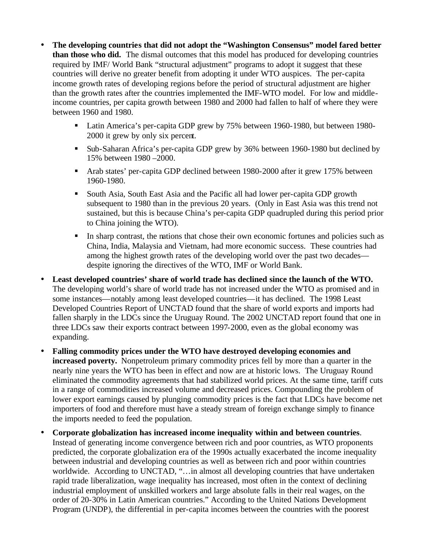- **The developing countries that did not adopt the "Washington Consensus" model fared better than those who did.** The dismal outcomes that this model has produced for developing countries required by IMF/ World Bank "structural adjustment" programs to adopt it suggest that these countries will derive no greater benefit from adopting it under WTO auspices. The per-capita income growth rates of developing regions before the period of structural adjustment are higher than the growth rates after the countries implemented the IMF-WTO model. For low and middleincome countries, per capita growth between 1980 and 2000 had fallen to half of where they were between 1960 and 1980.
	- Latin America's per-capita GDP grew by 75% between 1960-1980, but between 1980-2000 it grew by only six percent.
	- **Sub-Saharan Africa's per-capita GDP grew by 36% between 1960-1980 but declined by** 15% between 1980 –2000.
	- Arab states' per-capita GDP declined between 1980-2000 after it grew 175% between 1960-1980.
	- ß South Asia, South East Asia and the Pacific all had lower per-capita GDP growth subsequent to 1980 than in the previous 20 years. (Only in East Asia was this trend not sustained, but this is because China's per-capita GDP quadrupled during this period prior to China joining the WTO).
	- In sharp contrast, the nations that chose their own economic fortunes and policies such as China, India, Malaysia and Vietnam, had more economic success. These countries had among the highest growth rates of the developing world over the past two decades despite ignoring the directives of the WTO, IMF or World Bank.
- **Least developed countries' share of world trade has declined since the launch of the WTO.**  The developing world's share of world trade has not increased under the WTO as promised and in some instances—notably among least developed countries—it has declined. The 1998 Least Developed Countries Report of UNCTAD found that the share of world exports and imports had fallen sharply in the LDCs since the Uruguay Round. The 2002 UNCTAD report found that one in three LDCs saw their exports contract between 1997-2000, even as the global economy was expanding.
- **Falling commodity prices under the WTO have destroyed developing economies and increased poverty.** Nonpetroleum primary commodity prices fell by more than a quarter in the nearly nine years the WTO has been in effect and now are at historic lows. The Uruguay Round eliminated the commodity agreements that had stabilized world prices. At the same time, tariff cuts in a range of commodities increased volume and decreased prices. Compounding the problem of lower export earnings caused by plunging commodity prices is the fact that LDCs have become net importers of food and therefore must have a steady stream of foreign exchange simply to finance the imports needed to feed the population.
- **Corporate globalization has increased income inequality within and between countries**. Instead of generating income convergence between rich and poor countries, as WTO proponents predicted, the corporate globalization era of the 1990s actually exacerbated the income inequality between industrial and developing countries as well as between rich and poor within countries worldwide. According to UNCTAD, "...in almost all developing countries that have undertaken rapid trade liberalization, wage inequality has increased, most often in the context of declining industrial employment of unskilled workers and large absolute falls in their real wages, on the order of 20-30% in Latin American countries." According to the United Nations Development Program (UNDP), the differential in per-capita incomes between the countries with the poorest